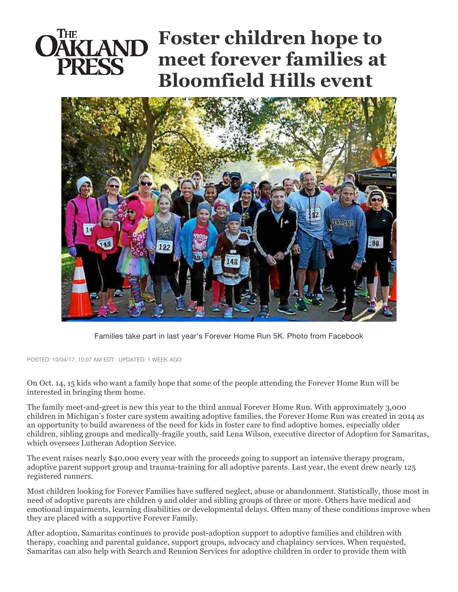## **Foster children hope to meet forever families at Bloomfield Hills event**



Families take part in last year's Forever Home Run 5K. Photo from Facebook

POSTED: 10/04/17, 10:07 AM EDT | UPDATED: 1 WEEK AGO

On Oct. 14, 15 kids who want a family hope that some of the people attending the Forever Home Run will be interested in bringing them home.

The family meet-and-greet is new this year to the third annual Forever Home Run. With approximately 3,000 children in Michigan's foster care system awaiting adoptive families, the Forever Home Run was created in 2014 as an opportunity to build awareness of the need for kids in foster care to find adoptive homes, especially older children, sibling groups and medically-fragile youth, said Lena Wilson, executive director of Adoption for Samaritas, which oversees Lutheran Adoption Service.

The event raises nearly \$40,000 every year with the proceeds going to support an intensive therapy program, adoptive parent support group and trauma-training for all adoptive parents. Last year, the event drew nearly 125 registered runners.

Most children looking for Forever Families have suffered neglect, abuse or abandonment. Statistically, those most in need of adoptive parents are children 9 and older and sibling groups of three or more. Others have medical and emotional impairments, learning disabilities or developmental delays. Often many of these conditions improve when they are placed with a supportive Forever Family.

After adoption, Samaritas continues to provide post-adoption support to adoptive families and children with therapy, coaching and parental guidance, support groups, advocacy and chaplaincy services. When requested, Samaritas can also help with Search and Reunion Services for adoptive children in order to provide them with